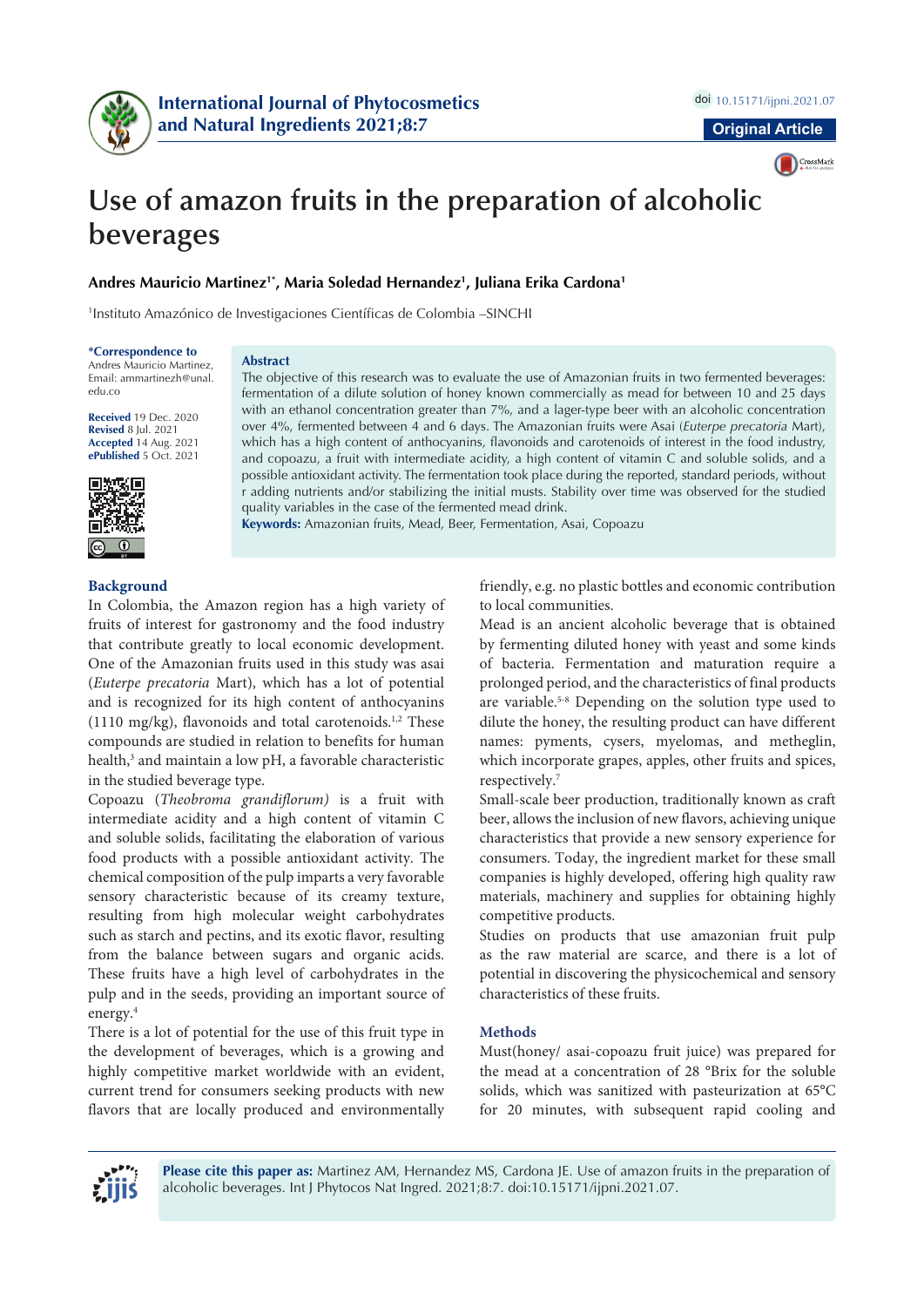



# **Use of amazon fruits in the preparation of alcoholic beverages**

# **Andres Mauricio Martinez1\*, Maria Soledad Hernandez1 , Juliana Erika Cardona1**

1 Instituto Amazónico de Investigaciones Científicas de Colombia –SINCHI

**\*Correspondence to** Andres Mauricio Martinez, Email: ammartinezh@unal. edu.co

**Received** 19 Dec. 2020 **Revised** 8 Jul. 2021 **Accepted** 14 Aug. 2021 **ePublished** 5 Oct. 2021



#### **Abstract**

The objective of this research was to evaluate the use of Amazonian fruits in two fermented beverages: fermentation of a dilute solution of honey known commercially as mead for between 10 and 25 days with an ethanol concentration greater than 7%, and a lager-type beer with an alcoholic concentration over 4%, fermented between 4 and 6 days. The Amazonian fruits were Asai (*Euterpe precatoria* Mart), which has a high content of anthocyanins, flavonoids and carotenoids of interest in the food industry, and copoazu, a fruit with intermediate acidity, a high content of vitamin C and soluble solids, and a possible antioxidant activity. The fermentation took place during the reported, standard periods, without r adding nutrients and/or stabilizing the initial musts. Stability over time was observed for the studied quality variables in the case of the fermented mead drink.

**Keywords:** Amazonian fruits, Mead, Beer, Fermentation, Asai, Copoazu

# **Background**

In Colombia, the Amazon region has a high variety of fruits of interest for gastronomy and the food industry that contribute greatly to local economic development. One of the Amazonian fruits used in this study was asai (*Euterpe precatoria* Mart), which has a lot of potential and is recognized for its high content of anthocyanins (1110 mg/kg), flavonoids and total carotenoids.<sup>1,2</sup> These compounds are studied in relation to benefits for human health,<sup>3</sup> and maintain a low pH, a favorable characteristic in the studied beverage type.

Copoazu (*Theobroma grandiflorum)* is a fruit with intermediate acidity and a high content of vitamin C and soluble solids, facilitating the elaboration of various food products with a possible antioxidant activity. The chemical composition of the pulp imparts a very favorable sensory characteristic because of its creamy texture, resulting from high molecular weight carbohydrates such as starch and pectins, and its exotic flavor, resulting from the balance between sugars and organic acids. These fruits have a high level of carbohydrates in the pulp and in the seeds, providing an important source of energy.4

There is a lot of potential for the use of this fruit type in the development of beverages, which is a growing and highly competitive market worldwide with an evident, current trend for consumers seeking products with new flavors that are locally produced and environmentally friendly, e.g. no plastic bottles and economic contribution to local communities.

Mead is an ancient alcoholic beverage that is obtained by fermenting diluted honey with yeast and some kinds of bacteria. Fermentation and maturation require a prolonged period, and the characteristics of final products are variable.<sup>5-8</sup> Depending on the solution type used to dilute the honey, the resulting product can have different names: pyments, cysers, myelomas, and metheglin, which incorporate grapes, apples, other fruits and spices, respectively.7

Small-scale beer production, traditionally known as craft beer, allows the inclusion of new flavors, achieving unique characteristics that provide a new sensory experience for consumers. Today, the ingredient market for these small companies is highly developed, offering high quality raw materials, machinery and supplies for obtaining highly competitive products.

Studies on products that use amazonian fruit pulp as the raw material are scarce, and there is a lot of potential in discovering the physicochemical and sensory characteristics of these fruits.

#### **Methods**

Must(honey/ asai-copoazu fruit juice) was prepared for the mead at a concentration of 28 °Brix for the soluble solids, which was sanitized with pasteurization at 65°C for 20 minutes, with subsequent rapid cooling and



**Please cite this paper as:** Martinez AM, Hernandez MS, Cardona JE. Use of amazon fruits in the preparation of alcoholic beverages. Int J Phytocos Nat Ingred. 2021;8:7. doi:10.15171/ijpni.2021.07.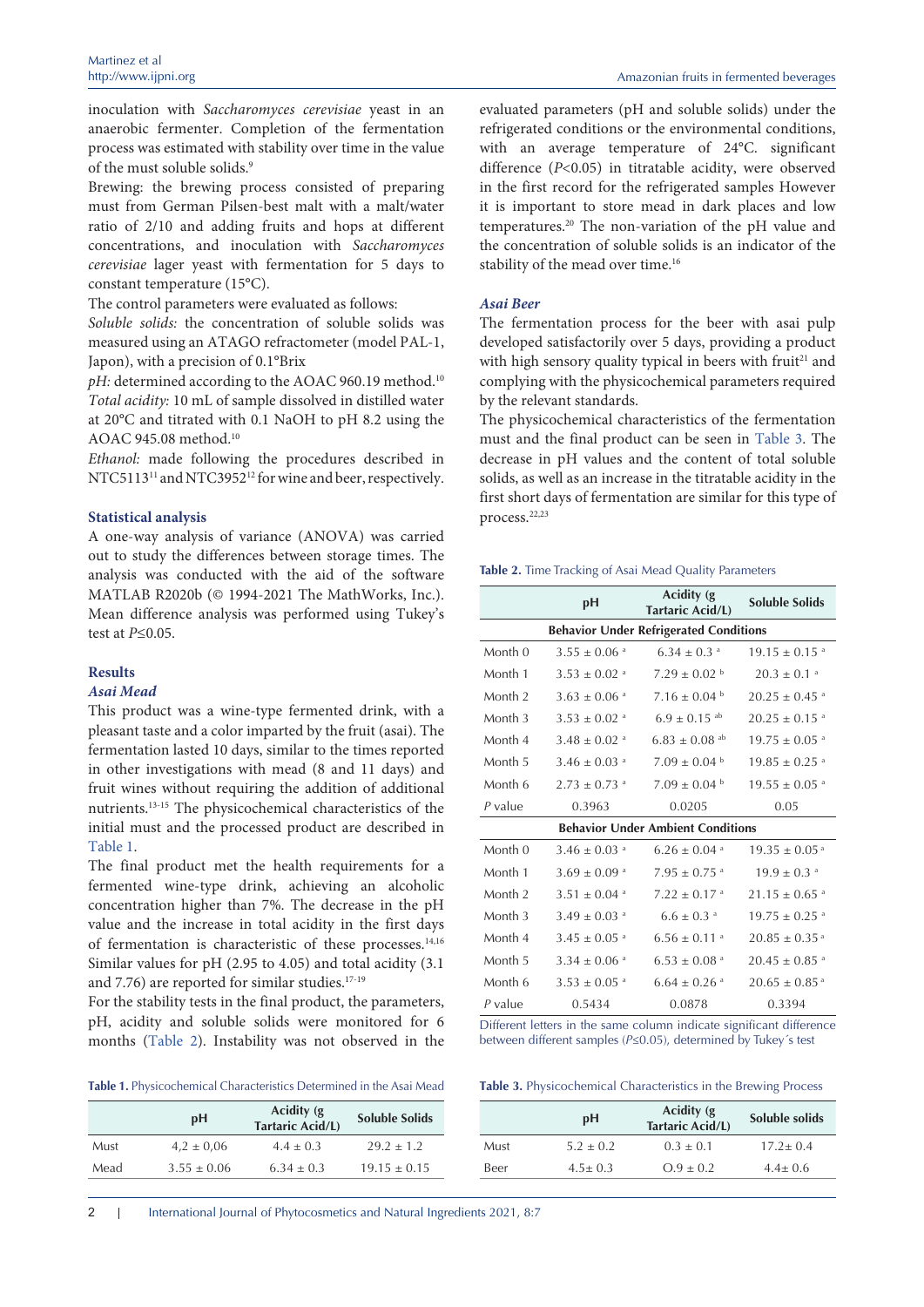inoculation with *Saccharomyces cerevisiae* yeast in an anaerobic fermenter. Completion of the fermentation process was estimated with stability over time in the value of the must soluble solids.<sup>9</sup>

Brewing: the brewing process consisted of preparing must from German Pilsen-best malt with a malt/water ratio of 2/10 and adding fruits and hops at different concentrations, and inoculation with *Saccharomyces cerevisiae* lager yeast with fermentation for 5 days to constant temperature (15°C).

The control parameters were evaluated as follows:

*Soluble solids:* the concentration of soluble solids was measured using an ATAGO refractometer (model PAL-1, Japon), with a precision of 0.1°Brix

pH: determined according to the AOAC 960.19 method.<sup>10</sup> *Total acidity:* 10 mL of sample dissolved in distilled water at 20°C and titrated with 0.1 NaOH to pH 8.2 using the AOAC 945.08 method.10

*Ethanol:* made following the procedures described in NTC5113<sup>11</sup> and NTC3952<sup>12</sup> for wine and beer, respectively.

#### **Statistical analysis**

A one-way analysis of variance (ANOVA) was carried out to study the differences between storage times. The analysis was conducted with the aid of the software MATLAB R2020b (© 1994-2021 The MathWorks, Inc.). Mean difference analysis was performed using Tukey's test at *P*≤0.05.

### **Results**

# *Asai Mead*

This product was a wine-type fermented drink, with a pleasant taste and a color imparted by the fruit (asai). The fermentation lasted 10 days, similar to the times reported in other investigations with mead (8 and 11 days) and fruit wines without requiring the addition of additional nutrients.13-15 The physicochemical characteristics of the initial must and the processed product are described in [Table](#page-1-0) 1.

The final product met the health requirements for a fermented wine-type drink, achieving an alcoholic concentration higher than 7%. The decrease in the pH value and the increase in total acidity in the first days of fermentation is characteristic of these processes.14,16 Similar values for pH (2.95 to 4.05) and total acidity (3.1 and 7.76) are reported for similar studies.17-19

For the stability tests in the final product, the parameters, pH, acidity and soluble solids were monitored for 6 months ([Table](#page-1-1) 2). Instability was not observed in the

<span id="page-1-0"></span>**Table 1.** Physicochemical Characteristics Determined in the Asai Mead

|      | pH              | Acidity (g)<br>Tartaric Acid/L) | <b>Soluble Solids</b> |
|------|-----------------|---------------------------------|-----------------------|
| Must | $4.2 \pm 0.06$  | $4.4 \pm 0.3$                   | $29.2 \pm 1.2$        |
| Mead | $3.55 \pm 0.06$ | $6.34 \pm 0.3$                  | $19.15 \pm 0.15$      |

evaluated parameters (pH and soluble solids) under the refrigerated conditions or the environmental conditions, with an average temperature of 24°C. significant difference (*P*<0.05) in titratable acidity, were observed in the first record for the refrigerated samples However it is important to store mead in dark places and low temperatures.20 The non-variation of the pH value and the concentration of soluble solids is an indicator of the stability of the mead over time.<sup>16</sup>

## *Asai Beer*

The fermentation process for the beer with asai pulp developed satisfactorily over 5 days, providing a product with high sensory quality typical in beers with fruit<sup>21</sup> and complying with the physicochemical parameters required by the relevant standards.

The physicochemical characteristics of the fermentation must and the final product can be seen in [Table](#page-1-2) 3. The decrease in pH values and the content of total soluble solids, as well as an increase in the titratable acidity in the first short days of fermentation are similar for this type of process.<sup>22,23</sup>

<span id="page-1-1"></span>**Table 2.** Time Tracking of Asai Mead Quality Parameters

|                                               | рH                           | Acidity (g<br><b>Tartaric Acid/L)</b> | Soluble Solids                |  |  |  |
|-----------------------------------------------|------------------------------|---------------------------------------|-------------------------------|--|--|--|
| <b>Behavior Under Refrigerated Conditions</b> |                              |                                       |                               |  |  |  |
| Month 0                                       | $3.55 \pm 0.06$ <sup>a</sup> | $6.34 \pm 0.3$ <sup>a</sup>           | $19.15 \pm 0.15$ <sup>a</sup> |  |  |  |
| Month 1                                       | $3.53 \pm 0.02$ <sup>a</sup> | $7.29 \pm 0.02$ <sup>b</sup>          | $20.3 \pm 0.1$ <sup>a</sup>   |  |  |  |
| Month <sub>2</sub>                            | $3.63 \pm 0.06$ <sup>a</sup> | $7.16 \pm 0.04$ b                     | $20.25 \pm 0.45$ <sup>a</sup> |  |  |  |
| Month 3                                       | $3.53 \pm 0.02$ <sup>a</sup> | $6.9 \pm 0.15$ <sup>ab</sup>          | $20.25 \pm 0.15$ <sup>a</sup> |  |  |  |
| Month 4                                       | $3.48 \pm 0.02$ <sup>a</sup> | $6.83 \pm 0.08$ <sup>ab</sup>         | $19.75 \pm 0.05$ <sup>a</sup> |  |  |  |
| Month <sub>5</sub>                            | $3.46 \pm 0.03$ <sup>a</sup> | $7.09 \pm 0.04$ b                     | $19.85 \pm 0.25$ <sup>a</sup> |  |  |  |
| Month 6                                       | $2.73 \pm 0.73$ <sup>a</sup> | $7.09 \pm 0.04$ b                     | $19.55 \pm 0.05$ <sup>a</sup> |  |  |  |
| $P$ value                                     | 0.3963                       | 0.0205                                | 0.05                          |  |  |  |
| <b>Behavior Under Ambient Conditions</b>      |                              |                                       |                               |  |  |  |
| Month 0                                       | $3.46 \pm 0.03$ <sup>a</sup> | $6.26 \pm 0.04$ <sup>a</sup>          | $19.35 \pm 0.05^{\text{a}}$   |  |  |  |
| Month 1                                       | $3.69 \pm 0.09$ <sup>a</sup> | $7.95 \pm 0.75$ <sup>a</sup>          | $19.9 \pm 0.3$ <sup>a</sup>   |  |  |  |
| Month <sub>2</sub>                            | $3.51 \pm 0.04$ <sup>a</sup> | $7.22 \pm 0.17$ <sup>a</sup>          | $21.15 \pm 0.65$ <sup>a</sup> |  |  |  |
| Month 3                                       | $3.49 \pm 0.03$ <sup>a</sup> | $6.6 \pm 0.3$ <sup>a</sup>            | $19.75 \pm 0.25$ <sup>a</sup> |  |  |  |
| Month 4                                       | $3.45 \pm 0.05$ <sup>a</sup> | $6.56 \pm 0.11$ <sup>a</sup>          | $20.85 \pm 0.35$ <sup>a</sup> |  |  |  |
| Month 5                                       | $3.34 \pm 0.06$ <sup>a</sup> | $6.53 \pm 0.08$ <sup>a</sup>          | $20.45 \pm 0.85$ <sup>a</sup> |  |  |  |
| Month 6                                       | $3.53 \pm 0.05$ <sup>a</sup> | $6.64 \pm 0.26$ <sup>a</sup>          | $20.65 \pm 0.85$ <sup>a</sup> |  |  |  |
| $P$ value                                     | 0.5434                       | 0.0878                                | 0.3394                        |  |  |  |

Different letters in the same column indicate significant difference between different samples (*P*≤0.05), determined by Tukey´s test

<span id="page-1-2"></span>**Table 3.** Physicochemical Characteristics in the Brewing Process

|      | pH            | Acidity (g)<br>Tartaric Acid/L) | Soluble solids |
|------|---------------|---------------------------------|----------------|
| Must | $5.2 \pm 0.2$ | $0.3 \pm 0.1$                   | $17.2 \pm 0.4$ |
| Beer | $4.5 \pm 0.3$ | $Q.9 \pm 0.2$                   | $4.4 \pm 0.6$  |

2 | International Journal of Phytocosmetics and Natural Ingredients 2021, 8:7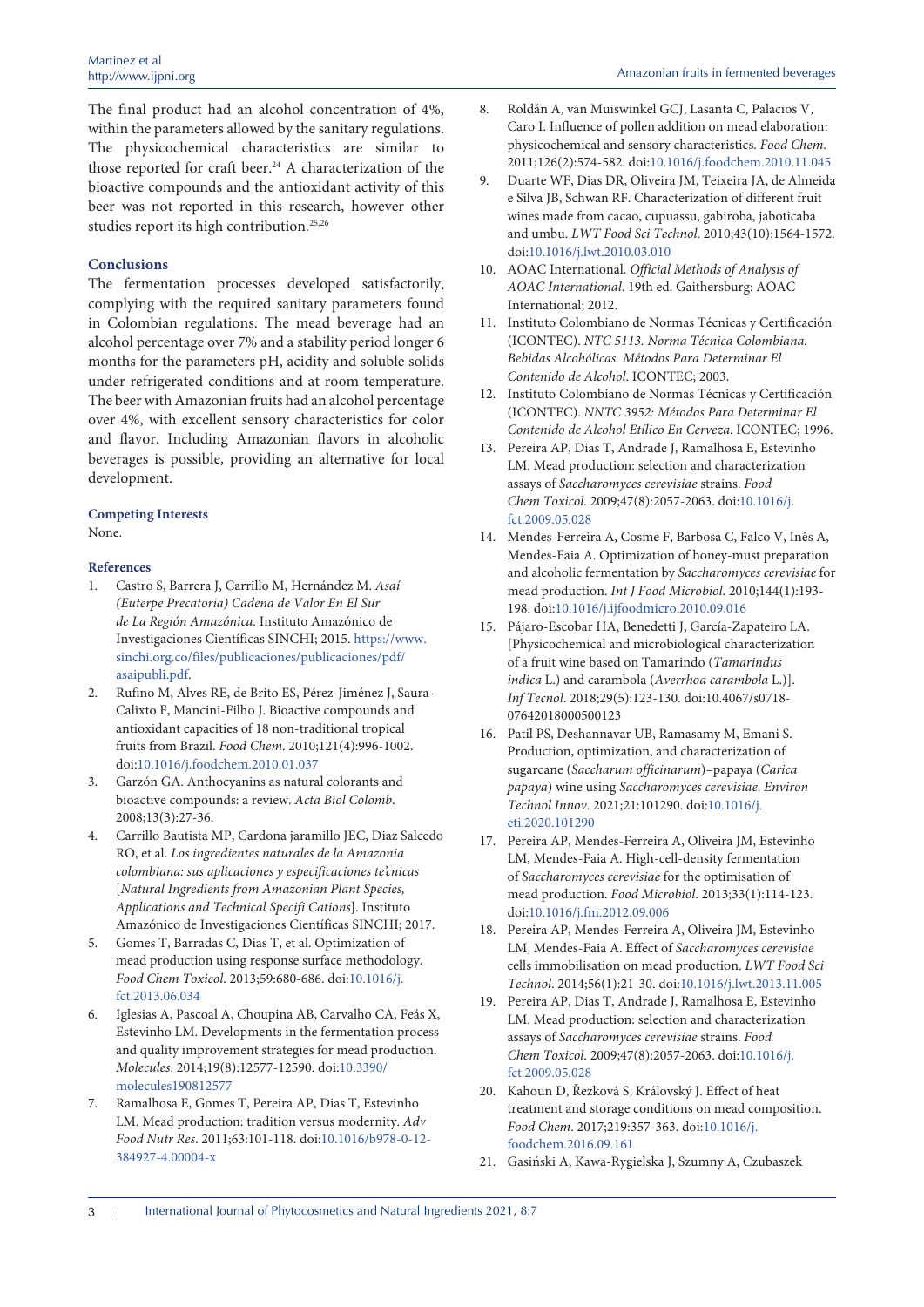The final product had an alcohol concentration of 4%, within the parameters allowed by the sanitary regulations. The physicochemical characteristics are similar to those reported for craft beer.<sup>24</sup> A characterization of the bioactive compounds and the antioxidant activity of this beer was not reported in this research, however other studies report its high contribution.<sup>25,26</sup>

#### **Conclusions**

The fermentation processes developed satisfactorily, complying with the required sanitary parameters found in Colombian regulations. The mead beverage had an alcohol percentage over 7% and a stability period longer 6 months for the parameters pH, acidity and soluble solids under refrigerated conditions and at room temperature. The beer with Amazonian fruits had an alcohol percentage over 4%, with excellent sensory characteristics for color and flavor. Including Amazonian flavors in alcoholic beverages is possible, providing an alternative for local development.

#### **Competing Interests**

None.

#### **References**

- 1. Castro S, Barrera J, Carrillo M, Hernández M. *Asaí (Euterpe Precatoria) Cadena de Valor En El Sur de La Región Amazónica*. Instituto Amazónico de Investigaciones Científicas SINCHI; 2015. [https://www.](https://www.sinchi.org.co/files/publicaciones/publicaciones/pdf/asaipubli.pdf) [sinchi.org.co/files/publicaciones/publicaciones/pdf/](https://www.sinchi.org.co/files/publicaciones/publicaciones/pdf/asaipubli.pdf) [asaipubli.pdf](https://www.sinchi.org.co/files/publicaciones/publicaciones/pdf/asaipubli.pdf).
- 2. Rufino M, Alves RE, de Brito ES, Pérez-Jiménez J, Saura-Calixto F, Mancini-Filho J. Bioactive compounds and antioxidant capacities of 18 non-traditional tropical fruits from Brazil. *Food Chem*. 2010;121(4):996-1002. doi[:10.1016/j.foodchem.2010.01.037](https://doi.org/10.1016/j.foodchem.2010.01.037)
- 3. Garzón GA. Anthocyanins as natural colorants and bioactive compounds: a review. *Acta Biol Colomb*. 2008;13(3):27-36.
- 4. Carrillo Bautista MP, Cardona jaramillo JEC, Diaz Salcedo RO, et al. *Los ingredientes naturales de la Amazonia colombiana: sus aplicaciones y especificaciones te'cnicas* [*Natural Ingredients from Amazonian Plant Species, Applications and Technical Specifi Cations*]. Instituto Amazónico de Investigaciones Científicas SINCHI; 2017.
- 5. Gomes T, Barradas C, Dias T, et al. Optimization of mead production using response surface methodology. *Food Chem Toxicol*. 2013;59:680-686. doi[:10.1016/j.](https://doi.org/10.1016/j.fct.2013.06.034) [fct.2013.06.034](https://doi.org/10.1016/j.fct.2013.06.034)
- 6. Iglesias A, Pascoal A, Choupina AB, Carvalho CA, Feás X, Estevinho LM. Developments in the fermentation process and quality improvement strategies for mead production. *Molecules*. 2014;19(8):12577-12590. doi:[10.3390/](https://doi.org/10.3390/molecules190812577) [molecules190812577](https://doi.org/10.3390/molecules190812577)
- 7. Ramalhosa E, Gomes T, Pereira AP, Dias T, Estevinho LM. Mead production: tradition versus modernity. *Adv Food Nutr Res*. 2011;63:101-118. doi:[10.1016/b978-0-12-](https://doi.org/10.1016/b978-0-12-384927-4.00004-x) [384927-4.00004-x](https://doi.org/10.1016/b978-0-12-384927-4.00004-x)
- 8. Roldán A, van Muiswinkel GCJ, Lasanta C, Palacios V, Caro I. Influence of pollen addition on mead elaboration: physicochemical and sensory characteristics. *Food Chem*. 2011;126(2):574-582. doi:[10.1016/j.foodchem.2010.11.045](https://doi.org/10.1016/j.foodchem.2010.11.045)
- 9. Duarte WF, Dias DR, Oliveira JM, Teixeira JA, de Almeida e Silva JB, Schwan RF. Characterization of different fruit wines made from cacao, cupuassu, gabiroba, jaboticaba and umbu. *LWT Food Sci Technol*. 2010;43(10):1564-1572. doi:[10.1016/j.lwt.2010.03.010](https://doi.org/10.1016/j.lwt.2010.03.010)
- 10. AOAC International. *Official Methods of Analysis of AOAC International*. 19th ed. Gaithersburg: AOAC International; 2012.
- 11. Instituto Colombiano de Normas Técnicas y Certificación (ICONTEC). *NTC 5113. Norma Técnica Colombiana. Bebidas Alcohólicas. Métodos Para Determinar El Contenido de Alcohol*. ICONTEC; 2003.
- 12. Instituto Colombiano de Normas Técnicas y Certificación (ICONTEC). *NNTC 3952: Métodos Para Determinar El Contenido de Alcohol Etílico En Cerveza*. ICONTEC; 1996.
- 13. Pereira AP, Dias T, Andrade J, Ramalhosa E, Estevinho LM. Mead production: selection and characterization assays of *Saccharomyces cerevisiae* strains. *Food Chem Toxicol*. 2009;47(8):2057-2063. doi:[10.1016/j.](https://doi.org/10.1016/j.fct.2009.05.028) [fct.2009.05.028](https://doi.org/10.1016/j.fct.2009.05.028)
- 14. Mendes-Ferreira A, Cosme F, Barbosa C, Falco V, Inês A, Mendes-Faia A. Optimization of honey-must preparation and alcoholic fermentation by *Saccharomyces cerevisiae* for mead production. *Int J Food Microbiol*. 2010;144(1):193- 198. doi:[10.1016/j.ijfoodmicro.2010.09.016](https://doi.org/10.1016/j.ijfoodmicro.2010.09.016)
- 15. Pájaro-Escobar HA, Benedetti J, García-Zapateiro LA. [Physicochemical and microbiological characterization of a fruit wine based on Tamarindo (*Tamarindus indica* L.) and carambola (*Averrhoa carambola* L.)]. *Inf Tecnol*. 2018;29(5):123-130. doi:10.4067/s0718- 07642018000500123
- 16. Patil PS, Deshannavar UB, Ramasamy M, Emani S. Production, optimization, and characterization of sugarcane (*Saccharum officinarum*)–papaya (*Carica papaya*) wine using *Saccharomyces cerevisiae*. *Environ Technol Innov*. 2021;21:101290. doi[:10.1016/j.](https://doi.org/10.1016/j.eti.2020.101290) [eti.2020.101290](https://doi.org/10.1016/j.eti.2020.101290)
- 17. Pereira AP, Mendes-Ferreira A, Oliveira JM, Estevinho LM, Mendes-Faia A. High-cell-density fermentation of *Saccharomyces cerevisiae* for the optimisation of mead production. *Food Microbiol*. 2013;33(1):114-123. doi:[10.1016/j.fm.2012.09.006](https://doi.org/10.1016/j.fm.2012.09.006)
- 18. Pereira AP, Mendes-Ferreira A, Oliveira JM, Estevinho LM, Mendes-Faia A. Effect of *Saccharomyces cerevisiae* cells immobilisation on mead production. *LWT Food Sci Technol*. 2014;56(1):21-30. doi[:10.1016/j.lwt.2013.11.005](https://doi.org/10.1016/j.lwt.2013.11.005)
- 19. Pereira AP, Dias T, Andrade J, Ramalhosa E, Estevinho LM. Mead production: selection and characterization assays of *Saccharomyces cerevisiae* strains. *Food Chem Toxicol*. 2009;47(8):2057-2063. doi:[10.1016/j.](https://doi.org/10.1016/j.fct.2009.05.028) [fct.2009.05.028](https://doi.org/10.1016/j.fct.2009.05.028)
- 20. Kahoun D, Řezková S, Královský J. Effect of heat treatment and storage conditions on mead composition. *Food Chem*. 2017;219:357-363. doi[:10.1016/j.](https://doi.org/10.1016/j.foodchem.2016.09.161) [foodchem.2016.09.161](https://doi.org/10.1016/j.foodchem.2016.09.161)
- 21. Gasiński A, Kawa-Rygielska J, Szumny A, Czubaszek